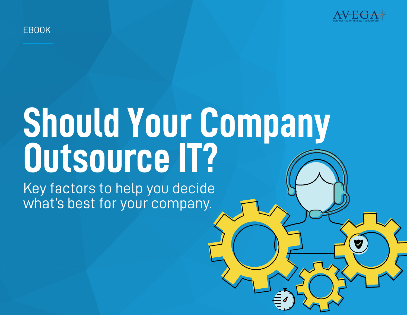

# EBOOK

# **Should Your Company Outsource IT?**

Key factors to help you decide what's best for your company.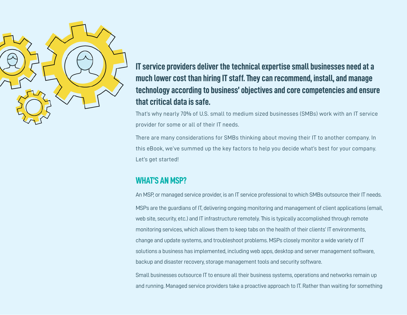

**IT service providers deliver the technical expertise small businesses need at a much lower cost than hiring IT staff. They can recommend, install, and manage technology according to business' objectives and core competencies and ensure that critical data is safe.** 

That's why nearly 70% of U.S. small to medium sized businesses (SMBs) work with an IT service provider for some or all of their IT needs.

There are many considerations for SMBs thinking about moving their IT to another company. In this eBook, we've summed up the key factors to help you decide what's best for your company. Let's get started!

# **WHAT'S AN MSP?**

An MSP, or managed service provider, is an IT service professional to which SMBs outsource their IT needs. MSPs are the guardians of IT, delivering ongoing monitoring and management of client applications (email, web site, security, etc.) and IT infrastructure remotely. This is typically accomplished through remote monitoring services, which allows them to keep tabs on the health of their clients' IT environments, change and update systems, and troubleshoot problems. MSPs closely monitor a wide variety of IT solutions a business has implemented, including web apps, desktop and server management software, backup and disaster recovery, storage management tools and security software.

Small businesses outsource IT to ensure all their business systems, operations and networks remain up and running. Managed service providers take a proactive approach to IT. Rather than waiting for something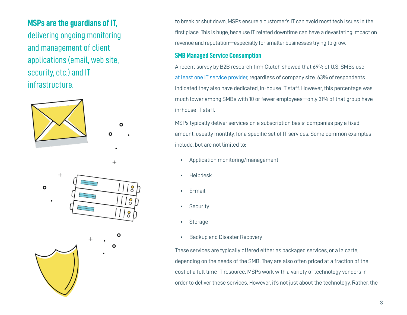# **MSPs are the guardians of IT,**

delivering ongoing monitoring and management of client applications (email, web site, security, etc.) and IT infrastructure.



to break or shut down, MSPs ensure a customer's IT can avoid most tech issues in the first place. This is huge, because IT related downtime can have a devastating impact on revenue and reputation—especially for smaller businesses trying to grow.

## **SMB Managed Service Consumption**

A recent survey by B2B research firm Clutch showed that 69% of U.S. SMBs use at least one IT service provider, regardless of company size. 63% of respondents indicated they also have dedicated, in-house IT staff. However, this percentage was much lower among SMBs with 10 or fewer employees—only 31% of that group have in-house IT staff.

MSPs typically deliver services on a subscription basis; companies pay a fixed amount, usually monthly, for a specific set of IT services. Some common examples include, but are not limited to:

- Application monitoring/management
- Helpdesk
- E-mail
- Security
- Storage
- Backup and Disaster Recovery

These services are typically offered either as packaged services, or a la carte, depending on the needs of the SMB. They are also often priced at a fraction of the cost of a full time IT resource. MSPs work with a variety of technology vendors in order to deliver these services. However, it's not just about the technology. Rather, the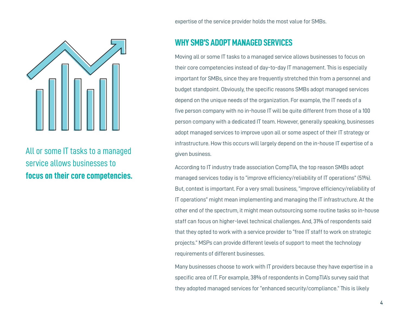

All or some IT tasks to a managed service allows businesses to **focus on their core competencies.** expertise of the service provider holds the most value for SMBs.

# **WHY SMB'S ADOPT MANAGED SERVICES**

Moving all or some IT tasks to a managed service allows businesses to focus on their core competencies instead of day-to-day IT management. This is especially important for SMBs, since they are frequently stretched thin from a personnel and budget standpoint. Obviously, the specific reasons SMBs adopt managed services depend on the unique needs of the organization. For example, the IT needs of a five person company with no in-house IT will be quite different from those of a 100 person company with a dedicated IT team. However, generally speaking, businesses adopt managed services to improve upon all or some aspect of their IT strategy or infrastructure. How this occurs will largely depend on the in-house IT expertise of a given business.

According to IT industry trade association CompTIA, the top reason SMBs adopt managed services today is to "improve efficiency/reliability of IT operations" (51%). But, context is important. For a very small business, "improve efficiency/reliability of IT operations" might mean implementing and managing the IT infrastructure. At the other end of the spectrum, it might mean outsourcing some routine tasks so in-house staff can focus on higher-level technical challenges. And, 31% of respondents said that they opted to work with a service provider to "free IT staff to work on strategic projects." MSPs can provide different levels of support to meet the technology requirements of different businesses.

Many businesses choose to work with IT providers because they have expertise in a specific area of IT. For example, 38% of respondents in CompTIA's survey said that they adopted managed services for "enhanced security/compliance." This is likely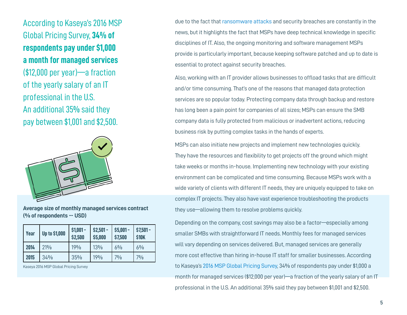According to Kaseya's 2016 MSP Global Pricing Survey, **34% of respondents pay under \$1,000 a month for managed services**  (\$12,000 per year)—a fraction of the yearly salary of an IT professional in the U.S. An additional 35% said they pay between \$1,001 and \$2,500.



**Average size of monthly managed services contract (% of respondents -- USD)**

| Year | <b>Up to \$1,000</b> | $$1,001 -$<br>\$2,500 | $$2,501 -$<br>\$5,000 | $$5,001 -$<br>\$7,500 | $$7,501 -$<br>\$10K |
|------|----------------------|-----------------------|-----------------------|-----------------------|---------------------|
| 2014 | 21%                  | 19%                   | 13%                   | $6\%$                 | $6\%$               |
| 2015 | 34%                  | 35%                   | 19%                   | 7%                    | 7%                  |

Kaseya 2016 MSP Global Pricing Survey

due to the fact that ransomware attacks and security breaches are constantly in the news, but it highlights the fact that MSPs have deep technical knowledge in specific disciplines of IT. Also, the ongoing monitoring and software management MSPs provide is particularly important, because keeping software patched and up to date is essential to protect against security breaches.

Also, working with an IT provider allows businesses to offload tasks that are difficult and/or time consuming. That's one of the reasons that managed data protection services are so popular today. Protecting company data through backup and restore has long been a pain point for companies of all sizes; MSPs can ensure the SMB company data is fully protected from malicious or inadvertent actions, reducing business risk by putting complex tasks in the hands of experts.

MSPs can also initiate new projects and implement new technologies quickly. They have the resources and flexibility to get projects off the ground which might take weeks or months in-house. Implementing new technology with your existing environment can be complicated and time consuming. Because MSPs work with a wide variety of clients with different IT needs, they are uniquely equipped to take on complex IT projects. They also have vast experience troubleshooting the products they use—allowing them to resolve problems quickly.

Depending on the company, cost savings may also be a factor—especially among smaller SMBs with straightforward IT needs. Monthly fees for managed services will vary depending on services delivered. But, managed services are generally more cost effective than hiring in-house IT staff for smaller businesses. According to Kaseya's 2016 MSP Global Pricing Survey, 34% of respondents pay under \$1,000 a month for managed services (\$12,000 per year)—a fraction of the yearly salary of an IT professional in the U.S. An additional 35% said they pay between \$1,001 and \$2,500.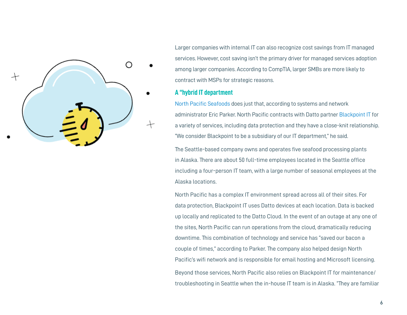

Larger companies with internal IT can also recognize cost savings from IT managed services. However, cost saving isn't the primary driver for managed services adoption among larger companies. According to CompTIA, larger SMBs are more likely to contract with MSPs for strategic reasons.

### **A "hybrid IT department**

North Pacific Seafoods does just that, according to systems and network administrator Eric Parker. North Pacific contracts with Datto partner Blackpoint IT for a variety of services, including data protection and they have a close-knit relationship. "We consider Blackpoint to be a subsidiary of our IT department," he said.

The Seattle-based company owns and operates five seafood processing plants in Alaska. There are about 50 full-time employees located in the Seattle office including a four-person IT team, with a large number of seasonal employees at the Alaska locations.

North Pacific has a complex IT environment spread across all of their sites. For data protection, Blackpoint IT uses Datto devices at each location. Data is backed up locally and replicated to the Datto Cloud. In the event of an outage at any one of the sites, North Pacific can run operations from the cloud, dramatically reducing downtime. This combination of technology and service has "saved our bacon a couple of times," according to Parker. The company also helped design North Pacific's wifi network and is responsible for email hosting and Microsoft licensing. Beyond those services, North Pacific also relies on Blackpoint IT for maintenance/ troubleshooting in Seattle when the in-house IT team is in Alaska. "They are familiar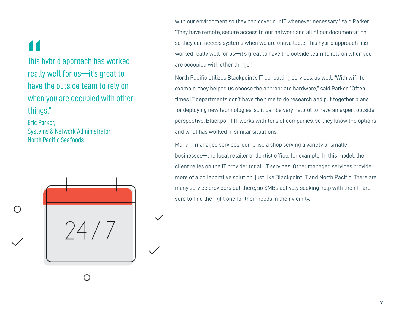**11**<br>This<br>see!!

This hybrid approach has worked really well for us—it's great to have the outside team to rely on when you are occupied with other things."

Eric Parker, Systems & Network Administrator North Pacific Seafoods



with our environment so they can cover our IT whenever necessary," said Parker. "They have remote, secure access to our network and all of our documentation, so they can access systems when we are unavailable. This hybrid approach has worked really well for us—it's great to have the outside team to rely on when you are occupied with other things."

North Pacific utilizes Blackpoint's IT consulting services, as well. "With wifi, for example, they helped us choose the appropriate hardware," said Parker. "Often times IT departments don't have the time to do research and put together plans for deploying new technologies, so it can be very helpful to have an expert outside perspective. Blackpoint IT works with tons of companies, so they know the options and what has worked in similar situations."

Many IT managed services, comprise a shop serving a variety of smaller businesses—the local retailer or dentist office, for example. In this model, the client relies on the IT provider for all IT services. Other managed services provide more of a collaborative solution, just like Blackpoint IT and North Pacific. There are many service providers out there, so SMBs actively seeking help with their IT are sure to find the right one for their needs in their vicinity.